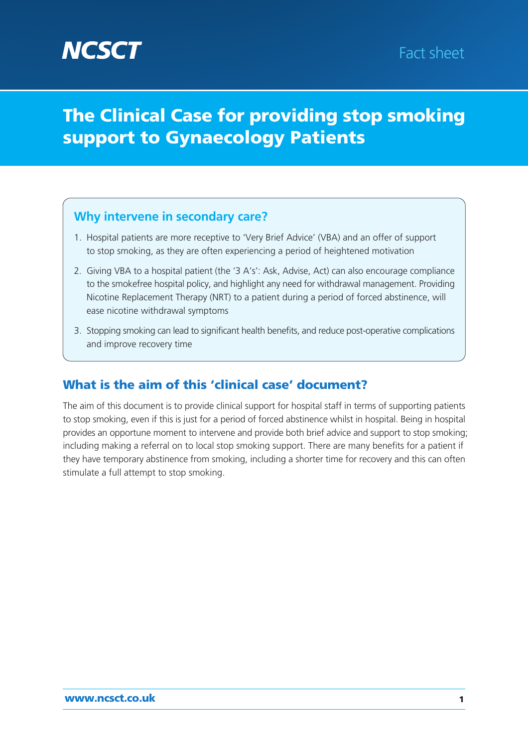# **Why intervene in secondary care?**

- 1. Hospital patients are more receptive to 'Very Brief Advice' (VBA) and an offer of support to stop smoking, as they are often experiencing a period of heightened motivation
- 2. Giving VBA to a hospital patient (the '3 A's': Ask, Advise, Act) can also encourage compliance to the smokefree hospital policy, and highlight any need for withdrawal management. Providing Nicotine Replacement Therapy (NRT) to a patient during a period of forced abstinence, will ease nicotine withdrawal symptoms
- 3. Stopping smoking can lead to significant health benefits, and reduce post-operative complications and improve recovery time

# What is the aim of this 'clinical case' document?

The aim of this document is to provide clinical support for hospital staff in terms of supporting patients to stop smoking, even if this is just for a period of forced abstinence whilst in hospital. Being in hospital provides an opportune moment to intervene and provide both brief advice and support to stop smoking; including making a referral on to local stop smoking support. There are many benefits for a patient if they have temporary abstinence from smoking, including a shorter time for recovery and this can often stimulate a full attempt to stop smoking.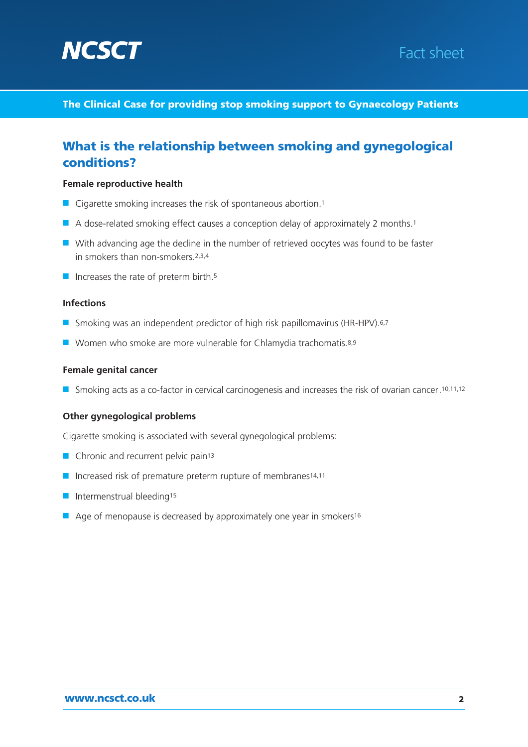



# What is the relationship between smoking and gynegological conditions?

#### **Female reproductive health**

- Cigarette smoking increases the risk of spontaneous abortion.<sup>1</sup>
- A dose-related smoking effect causes a conception delay of approximately 2 months.<sup>1</sup>
- With advancing age the decline in the number of retrieved oocytes was found to be faster in smokers than non-smokers.2,3,4
- Increases the rate of preterm birth.<sup>5</sup>

#### **Infections**

- Smoking was an independent predictor of high risk papillomavirus (HR-HPV).<sup>6,7</sup>
- Women who smoke are more vulnerable for Chlamydia trachomatis.8,9

#### **Female genital cancer**

■ Smoking acts as a co-factor in cervical carcinogenesis and increases the risk of ovarian cancer. <sup>10,11,12</sup>

#### **Other gynegological problems**

Cigarette smoking is associated with several gynegological problems:

- Chronic and recurrent pelvic pain<sup>13</sup>
- Increased risk of premature preterm rupture of membranes<sup>14,11</sup>
- Intermenstrual bleeding<sup>15</sup>
- Age of menopause is decreased by approximately one year in smokers<sup>16</sup>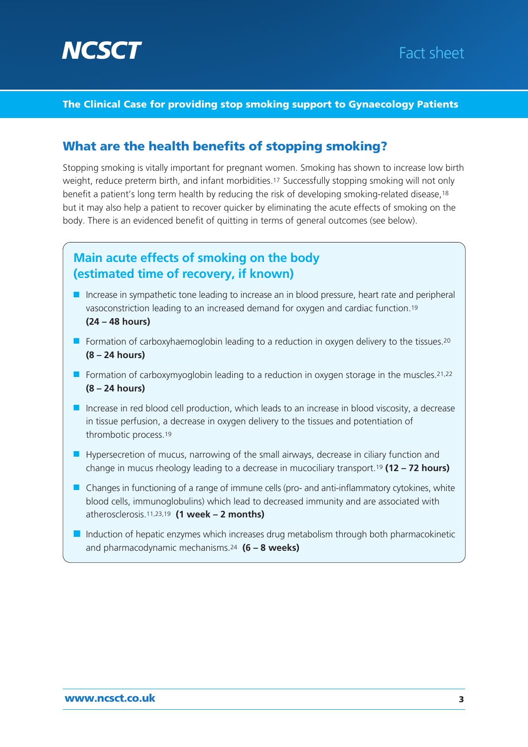

# Fact sheet

#### The Clinical Case for providing stop smoking support to Gynaecology Patients

### What are the health benefits of stopping smoking?

Stopping smoking is vitally important for pregnant women. Smoking has shown to increase low birth weight, reduce preterm birth, and infant morbidities.17 Successfully stopping smoking will not only benefit a patient's long term health by reducing the risk of developing smoking-related disease,18 but it may also help a patient to recover quicker by eliminating the acute effects of smoking on the body. There is an evidenced benefit of quitting in terms of general outcomes (see below).

# **Main acute effects of smoking on the body (estimated time of recovery, if known)**

- Increase in sympathetic tone leading to increase an in blood pressure, heart rate and peripheral vasoconstriction leading to an increased demand for oxygen and cardiac function.19 **(24 – 48 hours)**
- Formation of carboxyhaemoglobin leading to a reduction in oxygen delivery to the tissues.<sup>20</sup> **(8 – 24 hours)**
- Formation of carboxymyoglobin leading to a reduction in oxygen storage in the muscles.<sup>21,22</sup> **(8 – 24 hours)**
- Increase in red blood cell production, which leads to an increase in blood viscosity, a decrease in tissue perfusion, a decrease in oxygen delivery to the tissues and potentiation of thrombotic process.19
- Hypersecretion of mucus, narrowing of the small airways, decrease in ciliary function and change in mucus rheology leading to a decrease in mucociliary transport.19 **(12 – 72 hours)**
- Changes in functioning of a range of immune cells (pro- and anti-inflammatory cytokines, white blood cells, immunoglobulins) which lead to decreased immunity and are associated with atherosclerosis.11,23,19 **(1 week – 2 months)**
- Induction of hepatic enzymes which increases drug metabolism through both pharmacokinetic and pharmacodynamic mechanisms.24 **(6 – 8 weeks)**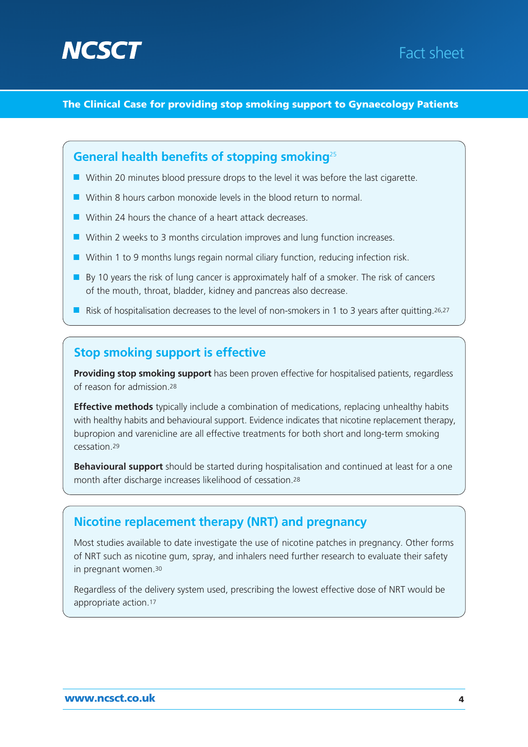



### **General health benefits of stopping smoking**<sup>25</sup>

- Within 20 minutes blood pressure drops to the level it was before the last cigarette.
- Within 8 hours carbon monoxide levels in the blood return to normal.
- Within 24 hours the chance of a heart attack decreases.
- Within 2 weeks to 3 months circulation improves and lung function increases.
- Within 1 to 9 months lungs regain normal ciliary function, reducing infection risk.
- By 10 years the risk of lung cancer is approximately half of a smoker. The risk of cancers of the mouth, throat, bladder, kidney and pancreas also decrease.
- Risk of hospitalisation decreases to the level of non-smokers in 1 to 3 years after quitting.<sup>26,27</sup>

## **Stop smoking support is effective**

**Providing stop smoking support** has been proven effective for hospitalised patients, regardless of reason for admission.28

**Effective methods** typically include a combination of medications, replacing unhealthy habits with healthy habits and behavioural support. Evidence indicates that nicotine replacement therapy, bupropion and varenicline are all effective treatments for both short and long-term smoking cessation.29

**Behavioural support** should be started during hospitalisation and continued at least for a one month after discharge increases likelihood of cessation.28

# **Nicotine replacement therapy (NRT) and pregnancy**

Most studies available to date investigate the use of nicotine patches in pregnancy. Other forms of NRT such as nicotine gum, spray, and inhalers need further research to evaluate their safety in pregnant women.30

Regardless of the delivery system used, prescribing the lowest effective dose of NRT would be appropriate action.17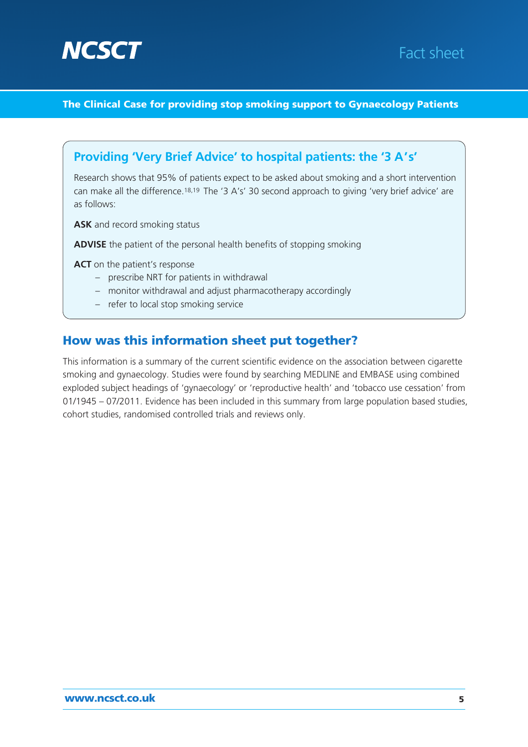



# **Providing 'Very Brief Advice' to hospital patients: the '3 A's'**

Research shows that 95% of patients expect to be asked about smoking and a short intervention can make all the difference.18,19 The '3 A's' 30 second approach to giving 'very brief advice' are as follows:

**ASK** and record smoking status

**ADVISE** the patient of the personal health benefits of stopping smoking

**ACT** on the patient's response

- prescribe NRT for patients in withdrawal
- monitor withdrawal and adjust pharmacotherapy accordingly
- refer to local stop smoking service

### How was this information sheet put together?

This information is a summary of the current scientific evidence on the association between cigarette smoking and gynaecology. Studies were found by searching MEDLINE and EMBASE using combined exploded subject headings of 'gynaecology' or 'reproductive health' and 'tobacco use cessation' from 01/1945 – 07/2011. Evidence has been included in this summary from large population based studies, cohort studies, randomised controlled trials and reviews only.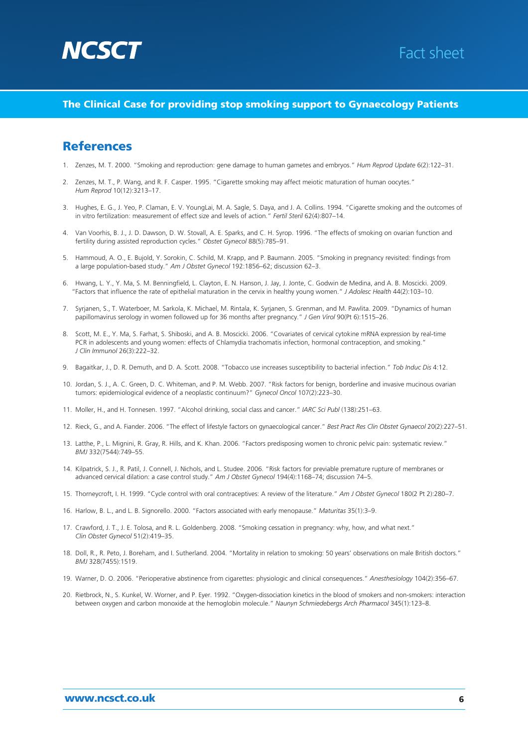



### **References**

- 1. Zenzes, M. T. 2000. "Smoking and reproduction: gene damage to human gametes and embryos." *Hum Reprod Update* 6(2):122–31.
- 2. Zenzes, M. T., P. Wang, and R. F. Casper. 1995. "Cigarette smoking may affect meiotic maturation of human oocytes." *Hum Reprod* 10(12):3213–17.
- 3. Hughes, E. G., J. Yeo, P. Claman, E. V. YoungLai, M. A. Sagle, S. Daya, and J. A. Collins. 1994. "Cigarette smoking and the outcomes of in vitro fertilization: measurement of effect size and levels of action." *Fertil Steril* 62(4):807–14.
- 4. Van Voorhis, B. J., J. D. Dawson, D. W. Stovall, A. E. Sparks, and C. H. Syrop. 1996. "The effects of smoking on ovarian function and fertility during assisted reproduction cycles." *Obstet Gynecol* 88(5):785–91.
- 5. Hammoud, A. O., E. Bujold, Y. Sorokin, C. Schild, M. Krapp, and P. Baumann. 2005. "Smoking in pregnancy revisited: findings from a large population-based study." *Am J Obstet Gynecol* 192:1856–62; discussion 62–3.
- 6. Hwang, L. Y., Y. Ma, S. M. Benningfield, L. Clayton, E. N. Hanson, J. Jay, J. Jonte, C. Godwin de Medina, and A. B. Moscicki. 2009. "Factors that influence the rate of epithelial maturation in the cervix in healthy young women." *J Adolesc Health* 44(2):103–10.
- 7. Syrjanen, S., T. Waterboer, M. Sarkola, K. Michael, M. Rintala, K. Syrjanen, S. Grenman, and M. Pawlita. 2009. "Dynamics of human papillomavirus serology in women followed up for 36 months after pregnancy." *J Gen Virol* 90(Pt 6):1515–26.
- 8. Scott, M. E., Y. Ma, S. Farhat, S. Shiboski, and A. B. Moscicki. 2006. "Covariates of cervical cytokine mRNA expression by real-time PCR in adolescents and young women: effects of Chlamydia trachomatis infection, hormonal contraception, and smoking." *J Clin Immunol* 26(3):222–32.
- 9. Bagaitkar, J., D. R. Demuth, and D. A. Scott. 2008. "Tobacco use increases susceptibility to bacterial infection." *Tob Induc Dis* 4:12.
- 10. Jordan, S. J., A. C. Green, D. C. Whiteman, and P. M. Webb. 2007. "Risk factors for benign, borderline and invasive mucinous ovarian tumors: epidemiological evidence of a neoplastic continuum?" *Gynecol Oncol* 107(2):223–30.
- 11. Moller, H., and H. Tonnesen. 1997. "Alcohol drinking, social class and cancer." *IARC Sci Publ* (138):251–63.
- 12. Rieck, G., and A. Fiander. 2006. "The effect of lifestyle factors on gynaecological cancer." *Best Pract Res Clin Obstet Gynaecol* 20(2):227–51.
- 13. Latthe, P., L. Mignini, R. Gray, R. Hills, and K. Khan. 2006. "Factors predisposing women to chronic pelvic pain: systematic review." *BMJ* 332(7544):749–55.
- 14. Kilpatrick, S. J., R. Patil, J. Connell, J. Nichols, and L. Studee. 2006. "Risk factors for previable premature rupture of membranes or advanced cervical dilation: a case control study." *Am J Obstet Gynecol* 194(4):1168–74; discussion 74–5.
- 15. Thorneycroft, I. H. 1999. "Cycle control with oral contraceptives: A review of the literature." *Am J Obstet Gynecol* 180(2 Pt 2):280–7.
- 16. Harlow, B. L., and L. B. Signorello. 2000. "Factors associated with early menopause." *Maturitas* 35(1):3–9.
- 17. Crawford, J. T., J. E. Tolosa, and R. L. Goldenberg. 2008. "Smoking cessation in pregnancy: why, how, and what next." *Clin Obstet Gynecol* 51(2):419–35.
- 18. Doll, R., R. Peto, J. Boreham, and I. Sutherland. 2004. "Mortality in relation to smoking: 50 years' observations on male British doctors." *BMJ* 328(7455):1519.
- 19. Warner, D. O. 2006. "Perioperative abstinence from cigarettes: physiologic and clinical consequences." *Anesthesiology* 104(2):356–67.
- 20. Rietbrock, N., S. Kunkel, W. Worner, and P. Eyer. 1992. "Oxygen-dissociation kinetics in the blood of smokers and non-smokers: interaction between oxygen and carbon monoxide at the hemoglobin molecule." *Naunyn Schmiedebergs Arch Pharmacol* 345(1):123–8.